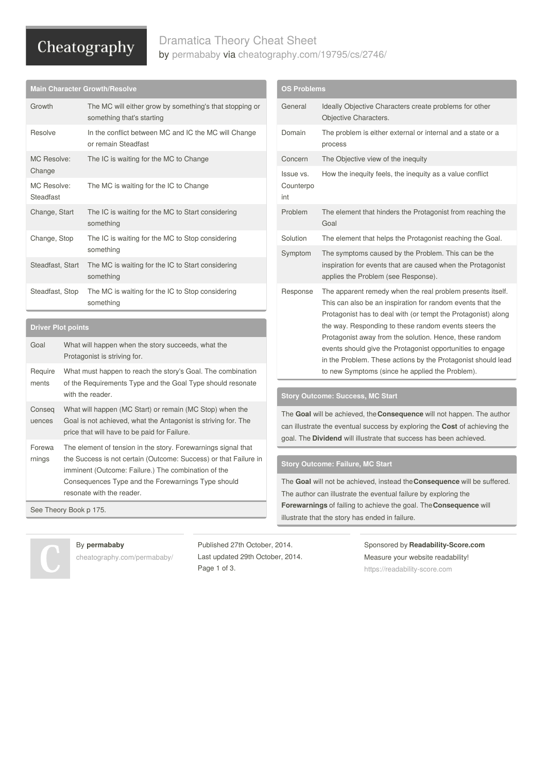# Cheatography

# Dramatica Theory Cheat Sheet by [permababy](http://www.cheatography.com/permababy/) via [cheatography.com/19795/cs/2746/](http://www.cheatography.com/permababy/cheat-sheets/dramatica-theory)

**OS Problems**

## **Main Character Growth/Resolve** Growth The MC will either grow by something's that stopping or something that's starting Resolve In the conflict between MC and IC the MC will Change or remain Steadfast MC Resolve: Change The IC is waiting for the MC to Change MC Resolve: Steadfast The MC is waiting for the IC to Change Change, Start The IC is waiting for the MC to Start considering something Change, Stop The IC is waiting for the MC to Stop considering something Steadfast, Start The MC is waiting for the IC to Start considering something Steadfast, Stop The MC is waiting for the IC to Stop considering something

#### **Driver Plot points**

| Goal                   | What will happen when the story succeeds, what the<br>Protagonist is striving for.                                                                                                                                                                                          |
|------------------------|-----------------------------------------------------------------------------------------------------------------------------------------------------------------------------------------------------------------------------------------------------------------------------|
| Require<br>ments       | What must happen to reach the story's Goal. The combination<br>of the Requirements Type and the Goal Type should resonate<br>with the reader.                                                                                                                               |
| Conseg<br>uences       | What will happen (MC Start) or remain (MC Stop) when the<br>Goal is not achieved, what the Antagonist is striving for. The<br>price that will have to be paid for Failure.                                                                                                  |
| Forewa<br>rnings       | The element of tension in the story. Forewarnings signal that<br>the Success is not certain (Outcome: Success) or that Failure in<br>imminent (Outcome: Failure.) The combination of the<br>Consequences Type and the Forewarnings Type should<br>resonate with the reader. |
| See Theory Book p 175. |                                                                                                                                                                                                                                                                             |

Domain The problem is either external or internal and a state or a process Concern The Objective view of the inequity Issue vs. Counterpo int How the inequity feels, the inequity as a value conflict Problem The element that hinders the Protagonist from reaching the Goal Solution The element that helps the Protagonist reaching the Goal. Symptom The symptoms caused by the Problem. This can be the inspiration for events that are caused when the Protagonist applies the Problem (see Response). Response The apparent remedy when the real problem presents itself. This can also be an inspiration for random events that the Protagonist has to deal with (or tempt the Protagonist) along the way. Responding to these random events steers the Protagonist away from the solution. Hence, these random events should give the Protagonist opportunities to engage in the Problem. These actions by the Protagonist should lead to new Symptoms (since he applied the Problem).

General Ideally Objective Characters create problems for other

Objective Characters.

#### **Story Outcome: Success, MC Start**

The **Goal** will be achieved, the**Consequence** will not happen. The author can illustrate the eventual success by exploring the **Cost** of achieving the goal. The **Dividend** will illustrate that success has been achieved.

### **Story Outcome: Failure, MC Start**

The **Goal** will not be achieved, instead the**Consequence** will be suffered. The author can illustrate the eventual failure by exploring the **Forewarnings** of failing to achieve the goal. The**Consequence** will illustrate that the story has ended in failure.

# By **permababy**

[cheatography.com/permababy/](http://www.cheatography.com/permababy/)

Published 27th October, 2014. Last updated 29th October, 2014. Page 1 of 3.

Sponsored by **Readability-Score.com** Measure your website readability! <https://readability-score.com>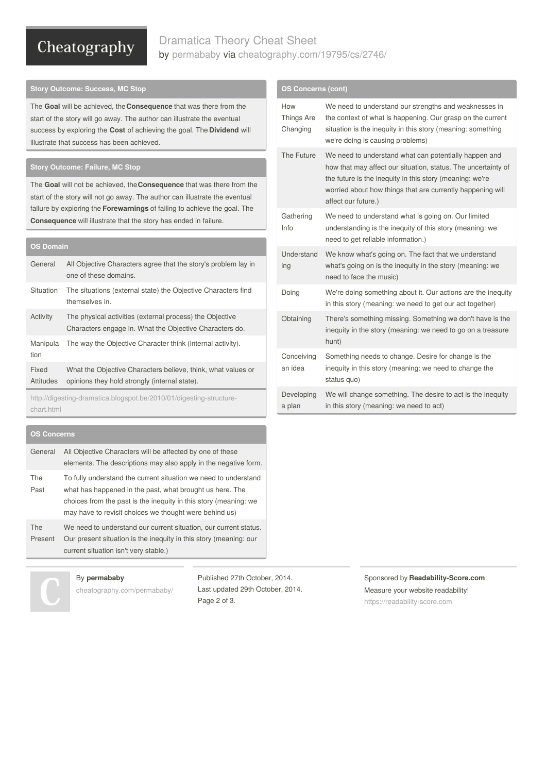# Cheatography

# Dramatica Theory Cheat Sheet by [permababy](http://www.cheatography.com/permababy/) via [cheatography.com/19795/cs/2746/](http://www.cheatography.com/permababy/cheat-sheets/dramatica-theory)

### **Story Outcome: Success, MC Stop**

The **Goal** will be achieved, the**Consequence** that was there from the start of the story will go away. The author can illustrate the eventual success by exploring the **Cost** of achieving the goal. The **Dividend** will illustrate that success has been achieved.

## **Story Outcome: Failure, MC Stop**

The **Goal** will not be achieved, the**Consequence** that was there from the start of the story will not go away. The author can illustrate the eventual failure by exploring the **Forewarnings** of failing to achieve the goal. The **Consequence** will illustrate that the story has ended in failure.

| <b>OS Domain</b>                                                    |                                                                                                                     |
|---------------------------------------------------------------------|---------------------------------------------------------------------------------------------------------------------|
| General                                                             | All Objective Characters agree that the story's problem lay in<br>one of these domains.                             |
| Situation                                                           | The situations (external state) the Objective Characters find<br>themselves in.                                     |
| Activity                                                            | The physical activities (external process) the Objective<br>Characters engage in. What the Objective Characters do. |
| Manipula<br>tion                                                    | The way the Objective Character think (internal activity).                                                          |
| Fixed<br><b>Attitudes</b>                                           | What the Objective Characters believe, think, what values or<br>opinions they hold strongly (internal state).       |
| http://digesting-dramatica.blogspot.be/2010/01/digesting-structure- |                                                                                                                     |

[http://digesting-dramatica.blogspot.be/2010/01/digesting-structure](http://digesting-dramatica.blogspot.be/2010/01/digesting-structure-chart.html)chart.html

# **OS Concerns**

| General        | All Objective Characters will be affected by one of these<br>elements. The descriptions may also apply in the negative form.                                                                                                                              |
|----------------|-----------------------------------------------------------------------------------------------------------------------------------------------------------------------------------------------------------------------------------------------------------|
| The<br>Past    | To fully understand the current situation we need to understand<br>what has happened in the past, what brought us here. The<br>choices from the past is the inequity in this story (meaning: we<br>may have to revisit choices we thought were behind us) |
| The<br>Present | We need to understand our current situation, our current status.<br>Our present situation is the inequity in this story (meaning: our<br>current situation isn't very stable.)                                                                            |

## By **permababy**

[cheatography.com/permababy/](http://www.cheatography.com/permababy/)

Published 27th October, 2014. Last updated 29th October, 2014. Page 2 of 3.

Sponsored by **Readability-Score.com** Measure your website readability! <https://readability-score.com>

| <b>OS Concerns (cont)</b> |  |
|---------------------------|--|
|                           |  |

| How<br>Things Are<br>Changing | We need to understand our strengths and weaknesses in<br>the context of what is happening. Our grasp on the current<br>situation is the inequity in this story (meaning: something<br>we're doing is causing problems)                                                  |
|-------------------------------|-------------------------------------------------------------------------------------------------------------------------------------------------------------------------------------------------------------------------------------------------------------------------|
| The Future                    | We need to understand what can potentially happen and<br>how that may affect our situation, status. The uncertainty of<br>the future is the inequity in this story (meaning: we're<br>worried about how things that are currently happening will<br>affect our future.) |
| Gathering<br>Info             | We need to understand what is going on. Our limited<br>understanding is the inequity of this story (meaning: we<br>need to get reliable information.)                                                                                                                   |
| Understand<br>ing             | We know what's going on. The fact that we understand<br>what's going on is the inequity in the story (meaning: we<br>need to face the music)                                                                                                                            |
| Doing                         | We're doing something about it. Our actions are the inequity<br>in this story (meaning: we need to get our act together)                                                                                                                                                |
| Obtaining                     | There's something missing. Something we don't have is the<br>inequity in the story (meaning: we need to go on a treasure<br>hunt)                                                                                                                                       |
| Conceiving<br>an idea         | Something needs to change. Desire for change is the<br>inequity in this story (meaning: we need to change the<br>status quo)                                                                                                                                            |
| Developing<br>a plan          | We will change something. The desire to act is the inequity<br>in this story (meaning: we need to act)                                                                                                                                                                  |